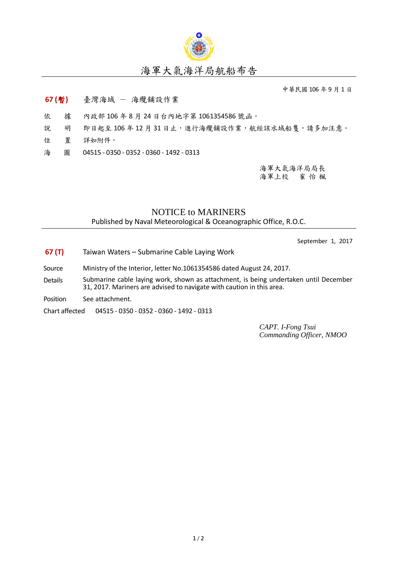

## 海軍大氣海洋局航船布告

中華民國 106 年 9 月 1 日

## **67 (**暫**)** 臺灣海域 - 海纜舖設作業

- 依 據 內政部 106 年 8 月 24 日台內地字第 1061354586 號函。
- 說 明 即日起至106年12月31日止,進行海纜舖設作業,航經該水域船隻,請多加注意。
- 位 置 詳如附件。
- 海 圖 04515 0350 0352 0360 1492 0313

海軍大氣海洋局局長 海軍上校 崔 怡 楓

## NOTICE to MARINERS

Published by Naval Meteorological & Oceanographic Office, R.O.C.

September 1, 2017

- **67 (T)** Taiwan Waters Submarine Cable Laying Work
- Source Ministry of the Interior, letter No.1061354586 dated August 24, 2017.
- Details Submarine cable laying work, shown as attachment, is being undertaken until December 31, 2017. Mariners are advised to navigate with caution in this area.
- Position See attachment.

Chart affected 04515 - 0350 - 0352 - 0360 - 1492 - 0313

*CAPT. I-Fong Tsui Commanding Officer, NMOO*